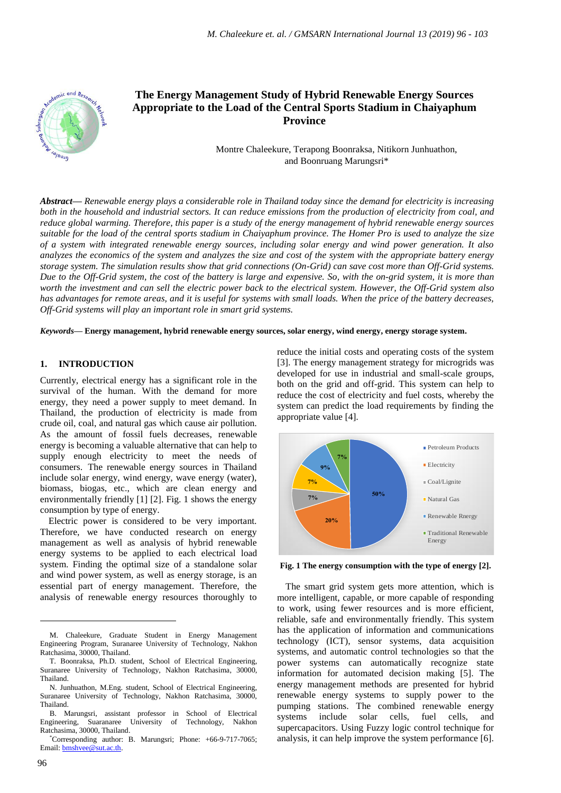

# **The Energy Management Study of Hybrid Renewable Energy Sources Appropriate to the Load of the Central Sports Stadium in Chaiyaphum Province**

Montre Chaleekure, Terapong Boonraksa, Nitikorn Junhuathon, and Boonruang Marungsri\*

*Abstract***—** *Renewable energy plays a considerable role in Thailand today since the demand for electricity is increasing both in the household and industrial sectors. It can reduce emissions from the production of electricity from coal, and reduce global warming. Therefore, this paper is a study of the energy management of hybrid renewable energy sources suitable for the load of the central sports stadium in Chaiyaphum province. The Homer Pro is used to analyze the size of a system with integrated renewable energy sources, including solar energy and wind power generation. It also analyzes the economics of the system and analyzes the size and cost of the system with the appropriate battery energy storage system. The simulation results show that grid connections (On-Grid) can save cost more than Off-Grid systems. Due to the Off-Grid system, the cost of the battery is large and expensive. So, with the on-grid system, it is more than worth the investment and can sell the electric power back to the electrical system. However, the Off-Grid system also has advantages for remote areas, and it is useful for systems with small loads. When the price of the battery decreases, Off-Grid systems will play an important role in smart grid systems.*

*Keywords***— Energy management, hybrid renewable energy sources, solar energy, wind energy, energy storage system.**

#### **1. INTRODUCTION**

Currently, electrical energy has a significant role in the survival of the human. With the demand for more energy, they need a power supply to meet demand. In Thailand, the production of electricity is made from crude oil, coal, and natural gas which cause air pollution. As the amount of fossil fuels decreases, renewable energy is becoming a valuable alternative that can help to supply enough electricity to meet the needs of consumers. The renewable energy sources in Thailand include solar energy, wind energy, wave energy (water), biomass, biogas, etc., which are clean energy and environmentally friendly [1] [2]. Fig. 1 shows the energy consumption by type of energy.

Electric power is considered to be very important. Therefore, we have conducted research on energy management as well as analysis of hybrid renewable energy systems to be applied to each electrical load system. Finding the optimal size of a standalone solar and wind power system, as well as energy storage, is an essential part of energy management. Therefore, the analysis of renewable energy resources thoroughly to

reduce the initial costs and operating costs of the system [3]. The energy management strategy for microgrids was developed for use in industrial and small-scale groups, both on the grid and off-grid. This system can help to reduce the cost of electricity and fuel costs, whereby the system can predict the load requirements by finding the appropriate value [4].



**Fig. 1 The energy consumption with the type of energy [2].**

The smart grid system gets more attention, which is more intelligent, capable, or more capable of responding to work, using fewer resources and is more efficient, reliable, safe and environmentally friendly. This system has the application of information and communications technology (ICT), sensor systems, data acquisition systems, and automatic control technologies so that the power systems can automatically recognize state information for automated decision making [5]. The energy management methods are presented for hybrid renewable energy systems to supply power to the pumping stations. The combined renewable energy systems include solar cells, fuel cells, and supercapacitors. Using Fuzzy logic control technique for analysis, it can help improve the system performance [6].

 $\overline{a}$ 

M. Chaleekure, Graduate Student in Energy Management Engineering Program, Suranaree University of Technology, Nakhon Ratchasima, 30000, Thailand.

T. Boonraksa, Ph.D. student, School of Electrical Engineering, Suranaree University of Technology, Nakhon Ratchasima, 30000, Thailand.

N. Junhuathon, M.Eng. student, School of Electrical Engineering, Suranaree University of Technology, Nakhon Ratchasima, 30000, Thailand.

B. Marungsri, assistant professor in School of Electrical Engineering, Suaranaree University of Technology, Nakhon Ratchasima, 30000, Thailand.

<sup>\*</sup>Corresponding author: B. Marungsri; Phone: +66-9-717-7065; Email[: bmshvee@sut.ac.th.](mailto:bmshvee@sut.ac.th)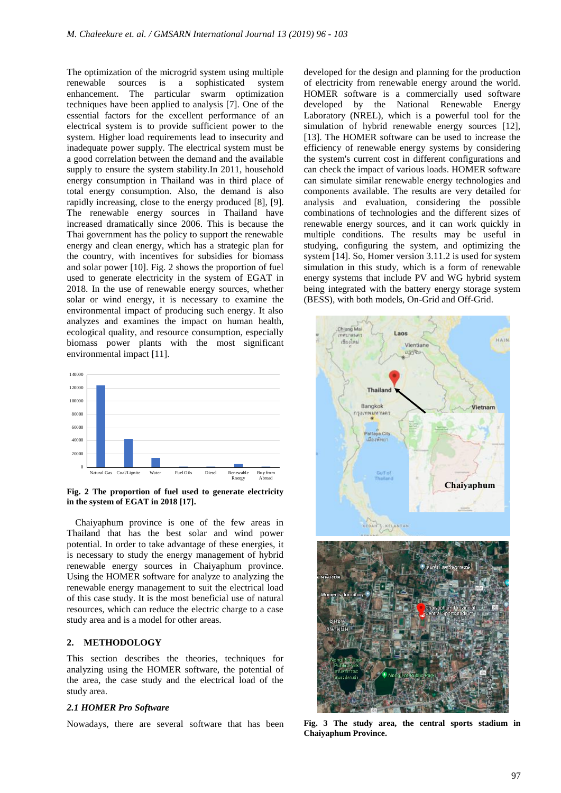The optimization of the microgrid system using multiple renewable sources is a sophisticated system enhancement. The particular swarm optimization techniques have been applied to analysis [7]. One of the essential factors for the excellent performance of an electrical system is to provide sufficient power to the system. Higher load requirements lead to insecurity and inadequate power supply. The electrical system must be a good correlation between the demand and the available supply to ensure the system stability.In 2011, household energy consumption in Thailand was in third place of total energy consumption. Also, the demand is also rapidly increasing, close to the energy produced [8], [9]. The renewable energy sources in Thailand have increased dramatically since 2006. This is because the Thai government has the policy to support the renewable energy and clean energy, which has a strategic plan for the country, with incentives for subsidies for biomass and solar power [10]. Fig. 2 shows the proportion of fuel used to generate electricity in the system of EGAT in 2018. In the use of renewable energy sources, whether solar or wind energy, it is necessary to examine the environmental impact of producing such energy. It also analyzes and examines the impact on human health, ecological quality, and resource consumption, especially biomass power plants with the most significant environmental impact [11].



**Fig. 2 The proportion of fuel used to generate electricity in the system of EGAT in 2018 [17].**

Chaiyaphum province is one of the few areas in Thailand that has the best solar and wind power potential. In order to take advantage of these energies, it is necessary to study the energy management of hybrid renewable energy sources in Chaiyaphum province. Using the HOMER software for analyze to analyzing the renewable energy management to suit the electrical load of this case study. It is the most beneficial use of natural resources, which can reduce the electric charge to a case study area and is a model for other areas.

#### **2. METHODOLOGY**

This section describes the theories, techniques for analyzing using the HOMER software, the potential of the area, the case study and the electrical load of the study area.

#### *2.1 HOMER Pro Software*

Nowadays, there are several software that has been

developed for the design and planning for the production of electricity from renewable energy around the world. HOMER software is a commercially used software developed by the National Renewable Energy Laboratory (NREL), which is a powerful tool for the simulation of hybrid renewable energy sources [12], [13]. The HOMER software can be used to increase the efficiency of renewable energy systems by considering the system's current cost in different configurations and can check the impact of various loads. HOMER software can simulate similar renewable energy technologies and components available. The results are very detailed for analysis and evaluation, considering the possible combinations of technologies and the different sizes of renewable energy sources, and it can work quickly in multiple conditions. The results may be useful in studying, configuring the system, and optimizing the system [14]. So, Homer version 3.11.2 is used for system simulation in this study, which is a form of renewable energy systems that include PV and WG hybrid system being integrated with the battery energy storage system (BESS), with both models, On-Grid and Off-Grid.



**Fig. 3 The study area, the central sports stadium in Chaiyaphum Province.**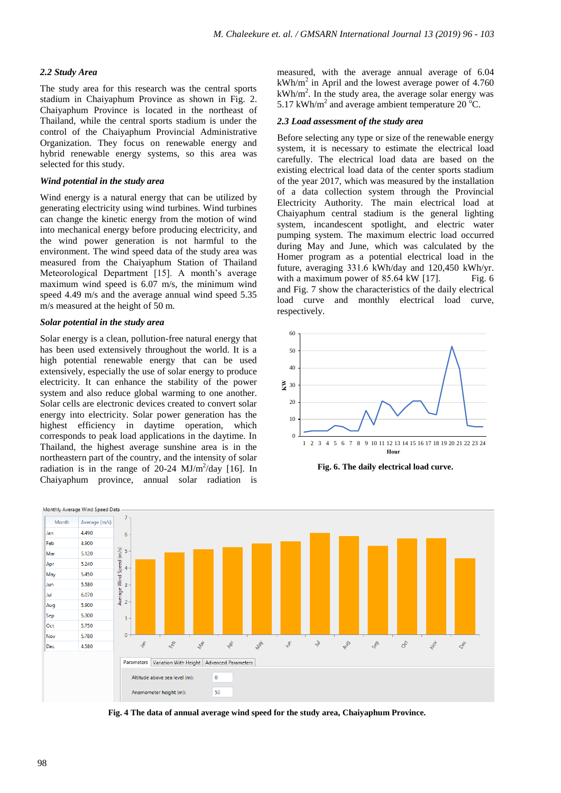# *2.2 Study Area*

The study area for this research was the central sports stadium in Chaiyaphum Province as shown in Fig. 2. Chaiyaphum Province is located in the northeast of Thailand, while the central sports stadium is under the control of the Chaiyaphum Provincial Administrative Organization. They focus on renewable energy and hybrid renewable energy systems, so this area was selected for this study.

## *Wind potential in the study area*

Wind energy is a natural energy that can be utilized by generating electricity using wind turbines. Wind turbines can change the kinetic energy from the motion of wind into mechanical energy before producing electricity, and the wind power generation is not harmful to the environment. The wind speed data of the study area was measured from the Chaiyaphum Station of Thailand Meteorological Department [15]. A month's average maximum wind speed is 6.07 m/s, the minimum wind speed 4.49 m/s and the average annual wind speed 5.35 m/s measured at the height of 50 m.

#### *Solar potential in the study area*

Solar energy is a clean, pollution-free natural energy that has been used extensively throughout the world. It is a high potential renewable energy that can be used extensively, especially the use of solar energy to produce electricity. It can enhance the stability of the power system and also reduce global warming to one another. Solar cells are electronic devices created to convert solar energy into electricity. Solar power generation has the highest efficiency in daytime operation, which corresponds to peak load applications in the daytime. In Thailand, the highest average sunshine area is in the northeastern part of the country, and the intensity of solar radiation is in the range of  $20-24$  MJ/m<sup>2</sup>/day [16]. In Chaiyaphum province, annual solar radiation is

measured, with the average annual average of 6.04  $kWh/m<sup>2</sup>$  in April and the lowest average power of 4.760 kWh/m<sup>2</sup>. In the study area, the average solar energy was 5.17 kWh/m<sup>2</sup> and average ambient temperature 20  $^{\circ}$ C.

## *2.3 Load assessment of the study area*

Before selecting any type or size of the renewable energy system, it is necessary to estimate the electrical load carefully. The electrical load data are based on the existing electrical load data of the center sports stadium of the year 2017, which was measured by the installation of a data collection system through the Provincial Electricity Authority. The main electrical load at Chaiyaphum central stadium is the general lighting system, incandescent spotlight, and electric water pumping system. The maximum electric load occurred during May and June, which was calculated by the Homer program as a potential electrical load in the future, averaging 331.6 kWh/day and 120,450 kWh/yr. with a maximum power of  $85.64 \text{ kW}$  [17]. Fig. 6 and Fig. 7 show the characteristics of the daily electrical load curve and monthly electrical load curve, respectively.



**Fig. 6. The daily electrical load curve.**



**Fig. 4 The data of annual average wind speed for the study area, Chaiyaphum Province.**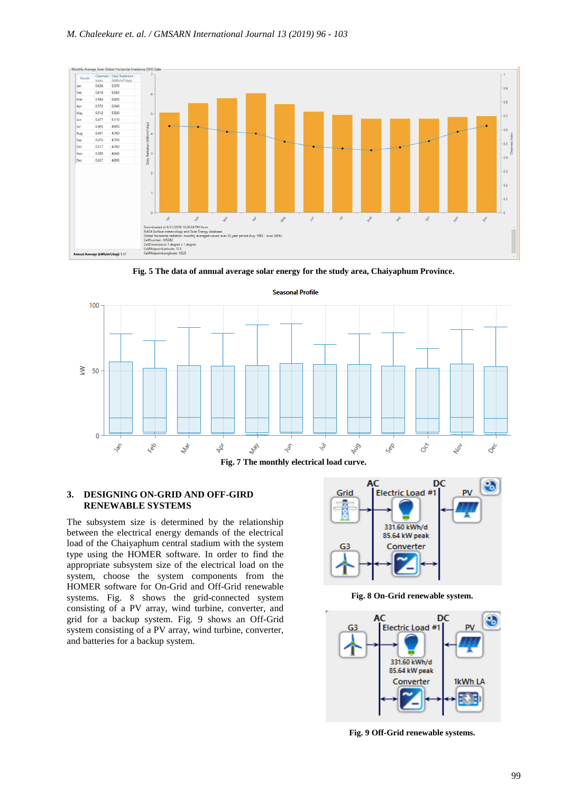

**Fig. 5 The data of annual average solar energy for the study area, Chaiyaphum Province.**



**Fig. 7 The monthly electrical load curve.**

#### **3. DESIGNING ON-GRID AND OFF-GIRD RENEWABLE SYSTEMS**

The subsystem size is determined by the relationship between the electrical energy demands of the electrical load of the Chaiyaphum central stadium with the system type using the HOMER software. In order to find the appropriate subsystem size of the electrical load on the system, choose the system components from the HOMER software for On-Grid and Off-Grid renewable systems. Fig. 8 shows the grid-connected system consisting of a PV array, wind turbine, converter, and grid for a backup system. Fig. 9 shows an Off-Grid system consisting of a PV array, wind turbine, converter, and batteries for a backup system.



**Fig. 8 On-Grid renewable system.**



**Fig. 9 Off-Grid renewable systems.**

**Seasonal Profile**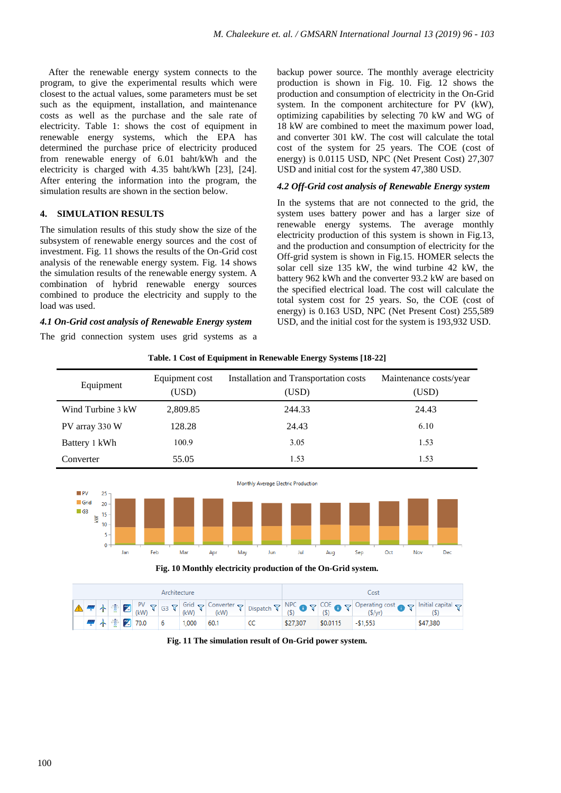After the renewable energy system connects to the program, to give the experimental results which were closest to the actual values, some parameters must be set such as the equipment, installation, and maintenance costs as well as the purchase and the sale rate of electricity. Table 1: shows the cost of equipment in renewable energy systems, which the EPA has determined the purchase price of electricity produced from renewable energy of 6.01 baht/kWh and the electricity is charged with 4.35 baht/kWh [23], [24]. After entering the information into the program, the simulation results are shown in the section below.

# **4. SIMULATION RESULTS**

The simulation results of this study show the size of the subsystem of renewable energy sources and the cost of investment. Fig. 11 shows the results of the On-Grid cost analysis of the renewable energy system. Fig. 14 shows the simulation results of the renewable energy system. A combination of hybrid renewable energy sources combined to produce the electricity and supply to the load was used.

# *4.1 On-Grid cost analysis of Renewable Energy system*

The grid connection system uses grid systems as a

backup power source. The monthly average electricity production is shown in Fig. 10. Fig. 12 shows the production and consumption of electricity in the On-Grid system. In the component architecture for PV (kW), optimizing capabilities by selecting 70 kW and WG of 18 kW are combined to meet the maximum power load, and converter 301 kW. The cost will calculate the total cost of the system for 25 years. The COE (cost of energy) is 0.0115 USD, NPC (Net Present Cost) 27,307 USD and initial cost for the system 47,380 USD.

# *4.2 Off-Grid cost analysis of Renewable Energy system*

In the systems that are not connected to the grid, the system uses battery power and has a larger size of renewable energy systems. The average monthly electricity production of this system is shown in Fig.13, and the production and consumption of electricity for the Off-grid system is shown in Fig.15. HOMER selects the solar cell size 135 kW, the wind turbine 42 kW, the battery 962 kWh and the converter 93.2 kW are based on the specified electrical load. The cost will calculate the total system cost for 25 years. So, the COE (cost of energy) is 0.163 USD, NPC (Net Present Cost) 255,589 USD, and the initial cost for the system is 193,932 USD.

| Equipment         | Equipment cost<br>(USD) | Installation and Transportation costs<br>(USD) | Maintenance costs/year<br>(USD) |
|-------------------|-------------------------|------------------------------------------------|---------------------------------|
| Wind Turbine 3 kW | 2,809.85                | 244.33                                         | 24.43                           |
| PV array 330 W    | 128.28                  | 24.43                                          | 6.10                            |
| Battery 1 kWh     | 100.9                   | 3.05                                           | 1.53                            |
| Converter         | 55.05                   | 1.53                                           | 1.53                            |

**Table. 1 Cost of Equipment in Renewable Energy Systems [18-22]**





**Fig. 11 The simulation result of On-Grid power system.**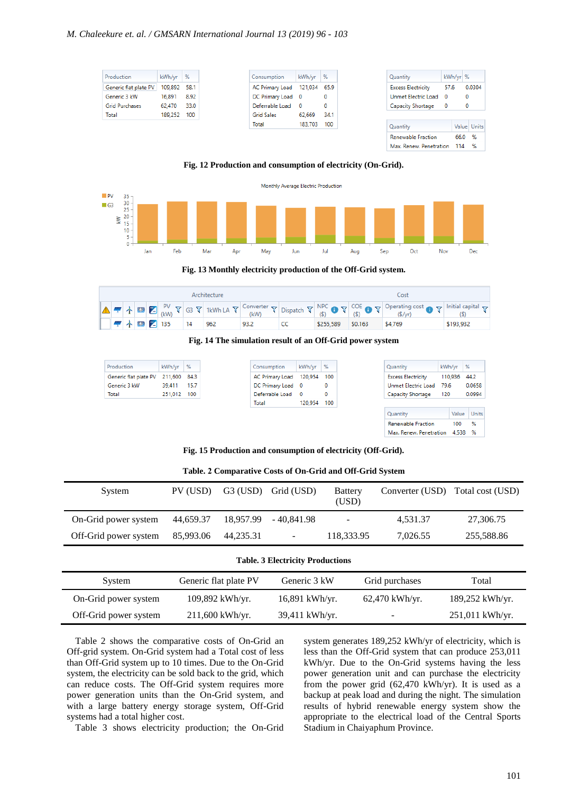| Production            | $kWh/yr$ % |      |
|-----------------------|------------|------|
| Generic flat plate PV | 109.892    | 58.1 |
| Generic 3 kW          | 16,891     | 8.92 |
| <b>Grid Purchases</b> | 62,470     | 33.0 |
| Total                 | 189,252    | 100  |
|                       |            |      |
|                       |            |      |
|                       |            |      |

#### **Fig. 12 Production and consumption of electricity (On-Grid).**



**Fig. 13 Monthly electricity production of the Off-Grid system.**

| Architecture |  |  |  |  |                                     |  | Cost |  |                   |                                                                                                                                                                                                                                                                                                                                                                                                                                                                                                                                                                                                                                                                |           |
|--------------|--|--|--|--|-------------------------------------|--|------|--|-------------------|----------------------------------------------------------------------------------------------------------------------------------------------------------------------------------------------------------------------------------------------------------------------------------------------------------------------------------------------------------------------------------------------------------------------------------------------------------------------------------------------------------------------------------------------------------------------------------------------------------------------------------------------------------------|-----------|
|              |  |  |  |  |                                     |  |      |  |                   | $\boxed{\blacktriangle} \begin{array}{c} \blacksquare \end{array} \begin{array}{c} \blacktriangleright \end{array} \begin{array}{c} \blacktriangleright \end{array} \begin{array}{c} \blacktriangleright \end{array} \begin{array}{c} \blacktriangleright \end{array} \begin{array}{c} \blacktriangleright \end{array} \begin{array}{c} \blacktriangleright \end{array} \begin{array}{c} \blacktriangle \end{array} \begin{array}{c} \blacktriangleright \end{array} \begin{array}{c} \blacktriangle \end{array} \begin{array}{c} \blacktriangleright \end{array} \begin{array}{c} \blacktriangleright \end{array} \begin{array}{c} \blacktriangleright \end{$ |           |
|              |  |  |  |  | $\sqrt{4}$ $\frac{1}{2}$ 135 14 962 |  | 93.2 |  | \$255.589 \$0.163 | \$4,769                                                                                                                                                                                                                                                                                                                                                                                                                                                                                                                                                                                                                                                        | \$193,932 |



 $\sim$ 

| Production            | kWh/yr      | %      |
|-----------------------|-------------|--------|
| Generic flat plate PV | 211,600     | - 84.3 |
| Generic 3 kW          | 39.411      | 15.7   |
| Total                 | 251.012 100 |        |

| Consumption     | kWh/yr  | - %   |
|-----------------|---------|-------|
| AC Primary Load | 120,954 | - 100 |
| DC Primary Load |         |       |
| Deferrable Load |         |       |
| Total           | 120.954 | - 100 |

the control of the control of the con-

| Quantity                  | kWh/yr |         | % |        |  |
|---------------------------|--------|---------|---|--------|--|
| <b>Excess Electricity</b> |        | 110,936 |   | 44.2   |  |
| Unmet Electric Load       | 79.6   |         |   | 0.0658 |  |
| Capacity Shortage         | 120    |         |   | 0.0994 |  |
|                           |        |         |   |        |  |
| Quantity                  |        | Value   |   | Units  |  |
| <b>Renewable Fraction</b> |        | 100     |   | %      |  |
| Max. Renew. Penetration   |        | 4.538   |   | %      |  |

**Fig. 15 Production and consumption of electricity (Off-Grid).**

| System                | PV (USD)  | $G3$ (USD) | Grid (USD)               | <b>Battery</b><br>(USD) |          | Converter (USD) Total cost (USD) |
|-----------------------|-----------|------------|--------------------------|-------------------------|----------|----------------------------------|
| On-Grid power system  | 44,659.37 | 18.957.99  | - 40.841.98              | -                       | 4,531.37 | 27,306.75                        |
| Off-Grid power system | 85,993.06 | 44,235.31  | $\overline{\phantom{a}}$ | 118,333.95              | 7,026.55 | 255,588.86                       |
|                       |           |            |                          |                         |          |                                  |

**Table. 2 Comparative Costs of On-Grid and Off-Grid System**

#### **Table. 3 Electricity Productions**

| System                | Generic flat plate PV | Generic 3 kW     | Grid purchases   | Total             |
|-----------------------|-----------------------|------------------|------------------|-------------------|
| On-Grid power system  | 109,892 kWh/yr.       | $16,891$ kWh/yr. | $62,470$ kWh/yr. | 189,252 kWh/yr.   |
| Off-Grid power system | $211,600$ kWh/yr.     | 39,411 kWh/yr.   | $\sim$           | $251,011$ kWh/yr. |

Table 2 shows the comparative costs of On-Grid an Off-grid system. On-Grid system had a Total cost of less than Off-Grid system up to 10 times. Due to the On-Grid system, the electricity can be sold back to the grid, which can reduce costs. The Off-Grid system requires more power generation units than the On-Grid system, and with a large battery energy storage system, Off-Grid systems had a total higher cost.

Table 3 shows electricity production; the On-Grid

system generates 189,252 kWh/yr of electricity, which is less than the Off-Grid system that can produce 253,011 kWh/yr. Due to the On-Grid systems having the less power generation unit and can purchase the electricity from the power grid (62,470 kWh/yr). It is used as a backup at peak load and during the night. The simulation results of hybrid renewable energy system show the appropriate to the electrical load of the Central Sports Stadium in Chaiyaphum Province.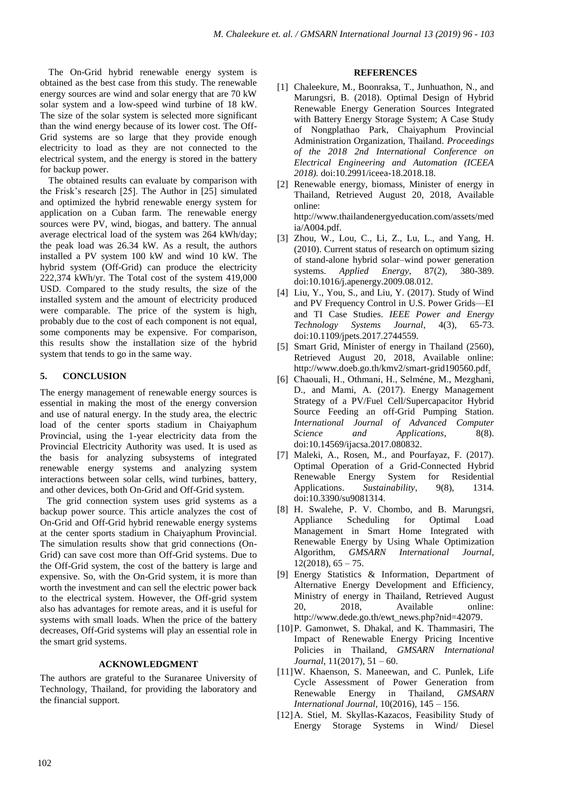The On-Grid hybrid renewable energy system is obtained as the best case from this study. The renewable energy sources are wind and solar energy that are 70 kW solar system and a low-speed wind turbine of 18 kW. The size of the solar system is selected more significant than the wind energy because of its lower cost. The Off-Grid systems are so large that they provide enough electricity to load as they are not connected to the electrical system, and the energy is stored in the battery for backup power.

The obtained results can evaluate by comparison with the Frisk's research [25]. The Author in [25] simulated and optimized the hybrid renewable energy system for application on a Cuban farm. The renewable energy sources were PV, wind, biogas, and battery. The annual average electrical load of the system was 264 kWh/day; the peak load was 26.34 kW. As a result, the authors installed a PV system 100 kW and wind 10 kW. The hybrid system (Off-Grid) can produce the electricity 222,374 kWh/yr. The Total cost of the system 419,000 USD. Compared to the study results, the size of the installed system and the amount of electricity produced were comparable. The price of the system is high, probably due to the cost of each component is not equal, some components may be expensive. For comparison, this results show the installation size of the hybrid system that tends to go in the same way.

# **5. CONCLUSION**

The energy management of renewable energy sources is essential in making the most of the energy conversion and use of natural energy. In the study area, the electric load of the center sports stadium in Chaiyaphum Provincial, using the 1-year electricity data from the Provincial Electricity Authority was used. It is used as the basis for analyzing subsystems of integrated renewable energy systems and analyzing system interactions between solar cells, wind turbines, battery, and other devices, both On-Grid and Off-Grid system.

The grid connection system uses grid systems as a backup power source. This article analyzes the cost of On-Grid and Off-Grid hybrid renewable energy systems at the center sports stadium in Chaiyaphum Provincial. The simulation results show that grid connections (On-Grid) can save cost more than Off-Grid systems. Due to the Off-Grid system, the cost of the battery is large and expensive. So, with the On-Grid system, it is more than worth the investment and can sell the electric power back to the electrical system. However, the Off-grid system also has advantages for remote areas, and it is useful for systems with small loads. When the price of the battery decreases, Off-Grid systems will play an essential role in the smart grid systems.

## **ACKNOWLEDGMENT**

The authors are grateful to the Suranaree University of Technology, Thailand, for providing the laboratory and the financial support.

#### **REFERENCES**

- [1] Chaleekure, M., Boonraksa, T., Junhuathon, N., and Marungsri, B. (2018). Optimal Design of Hybrid Renewable Energy Generation Sources Integrated with Battery Energy Storage System; A Case Study of Nongplathao Park, Chaiyaphum Provincial Administration Organization, Thailand. *Proceedings of the 2018 2nd International Conference on Electrical Engineering and Automation (ICEEA 2018).* doi:10.2991/iceea-18.2018.18.
- [2] Renewable energy, biomass, Minister of energy in Thailand, Retrieved August 20, 2018, Available online:

[http://www.thailandenergyeducation.com/assets/med](http://www.thailandenergyeducation.com/assets/media/A004.pdf) [ia/A004.pdf.](http://www.thailandenergyeducation.com/assets/media/A004.pdf)

- [3] Zhou, W., Lou, C., Li, Z., Lu, L., and Yang, H. (2010). Current status of research on optimum sizing of stand-alone hybrid solar–wind power generation systems. *Applied Energy*, 87(2), 380-389. doi:10.1016/j.apenergy.2009.08.012.
- [4] Liu, Y., You, S., and Liu, Y. (2017). Study of Wind and PV Frequency Control in U.S. Power Grids—EI and TI Case Studies. *IEEE Power and Energy Technology Systems Journal*, 4(3), 65-73. doi:10.1109/jpets.2017.2744559.
- [5] Smart Grid, Minister of energy in Thailand (2560), Retrieved August 20, 2018, Available online: [http://www.doeb.go.th/kmv2/smart-grid190560.pdf.](http://www.doeb.go.th/kmv2/smart-grid190560.pdf)
- [6] Chaouali, H., Othmani, H., Selméne, M., Mezghani, D., and Mami, A. (2017). Energy Management Strategy of a PV/Fuel Cell/Supercapacitor Hybrid Source Feeding an off-Grid Pumping Station. *International Journal of Advanced Computer Science and Applications*, 8(8). doi:10.14569/ijacsa.2017.080832.
- [7] Maleki, A., Rosen, M., and Pourfayaz, F. (2017). Optimal Operation of a Grid-Connected Hybrid Renewable Energy System for Residential Applications. *Sustainability*, 9(8), 1314. doi:10.3390/su9081314.
- [8] H. Swalehe, P. V. Chombo, and B. Marungsri, Appliance Scheduling for Optimal Load Management in Smart Home Integrated with Renewable Energy by Using Whale Optimization Algorithm, *GMSARN International Journal*,  $12(2018), 65 - 75.$
- [9] Energy Statistics & Information, Department of Alternative Energy Development and Efficiency, Ministry of energy in Thailand, Retrieved August 20, 2018, Available online: [http://www.dede.go.th/ewt\\_news.php?nid=42079.](http://www.dede.go.th/ewt_news.php?nid=42079)
- [10]P. Gamonwet, S. Dhakal, and K. Thammasiri, The Impact of Renewable Energy Pricing Incentive Policies in Thailand, *GMSARN International Journal*, 11(2017), 51 – 60.
- [11]W. Khaenson, S. Maneewan, and C. Punlek, Life Cycle Assessment of Power Generation from Renewable Energy in Thailand, *GMSARN International Journal,* 10(2016), 145 – 156.
- [12]A. Stiel, M. Skyllas-Kazacos, Feasibility Study of Energy Storage Systems in Wind/ Diesel